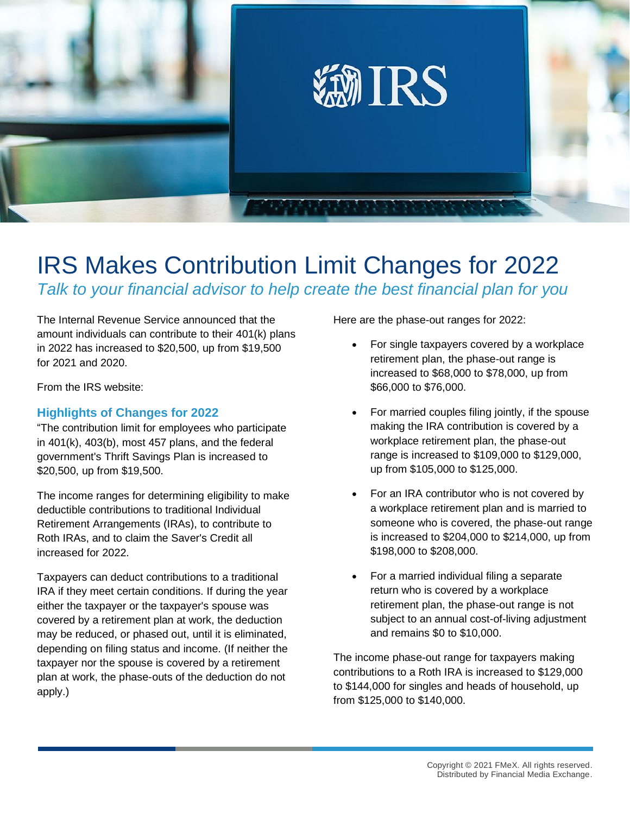

## IRS Makes Contribution Limit Changes for 2022 *Talk to your financial advisor to help create the best financial plan for you*

The Internal Revenue Service announced that the amount individuals can contribute to their 401(k) plans in 2022 has increased to \$20,500, up from \$19,500 for 2021 and 2020.

From the IRS website:

## **Highlights of Changes for 2022**

"The contribution limit for employees who participate in 401(k), 403(b), most 457 plans, and the federal government's Thrift Savings Plan is increased to \$20,500, up from \$19,500.

The income ranges for determining eligibility to make deductible contributions to traditional Individual Retirement Arrangements (IRAs), to contribute to Roth IRAs, and to claim the Saver's Credit all increased for 2022.

Taxpayers can deduct contributions to a traditional IRA if they meet certain conditions. If during the year either the taxpayer or the taxpayer's spouse was covered by a retirement plan at work, the deduction may be reduced, or phased out, until it is eliminated, depending on filing status and income. (If neither the taxpayer nor the spouse is covered by a retirement plan at work, the phase-outs of the deduction do not apply.)

Here are the phase-out ranges for 2022:

- For single taxpayers covered by a workplace retirement plan, the phase-out range is increased to \$68,000 to \$78,000, up from \$66,000 to \$76,000.
- For married couples filing jointly, if the spouse making the IRA contribution is covered by a workplace retirement plan, the phase-out range is increased to \$109,000 to \$129,000, up from \$105,000 to \$125,000.
- For an IRA contributor who is not covered by a workplace retirement plan and is married to someone who is covered, the phase-out range is increased to \$204,000 to \$214,000, up from \$198,000 to \$208,000.
- For a married individual filing a separate return who is covered by a workplace retirement plan, the phase-out range is not subject to an annual cost-of-living adjustment and remains \$0 to \$10,000.

The income phase-out range for taxpayers making contributions to a Roth IRA is increased to \$129,000 to \$144,000 for singles and heads of household, up from \$125,000 to \$140,000.